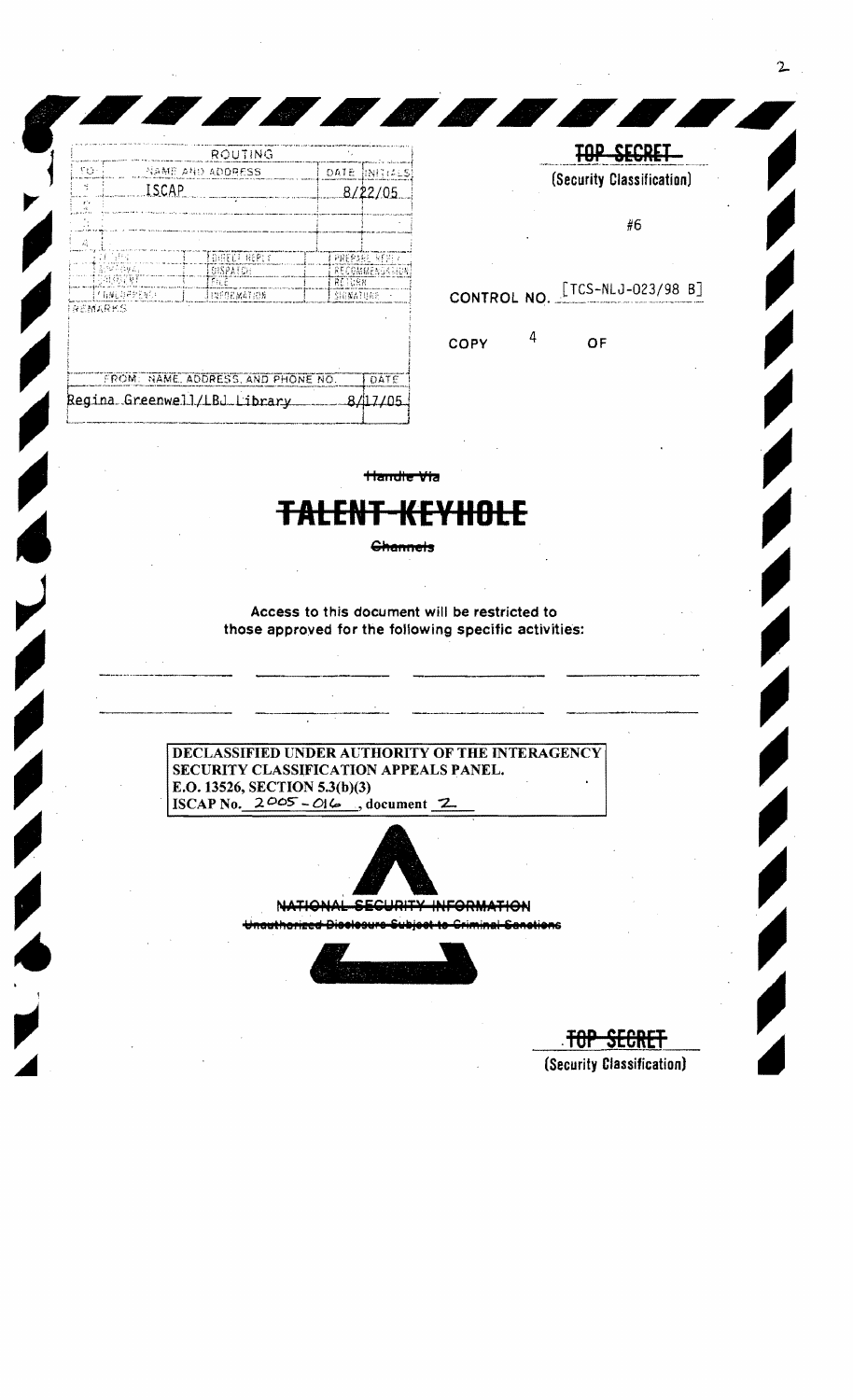| NAME AND ADDRESS<br>DATE.<br><b>INITIALS!</b><br>w<br><b>ISCAP</b><br>8/22/05<br>r.<br>٠ċ<br>즜<br>FOURED REPOR<br>21 (585)<br>PREPARE REPLY |  |
|---------------------------------------------------------------------------------------------------------------------------------------------|--|
|                                                                                                                                             |  |
|                                                                                                                                             |  |
|                                                                                                                                             |  |
|                                                                                                                                             |  |
|                                                                                                                                             |  |
| 重备物研究线盘数<br>RECOMMENSATION<br>DISPATCH                                                                                                      |  |
| ោះមានរង្វា<br>ាតអូរ<br>REIGRN                                                                                                               |  |
| ET GALDPREND<br>JINEDEMATION<br>SHEMATURE                                                                                                   |  |

<u> Alban Maria San André a Carl Indian San André a Carl Indian San André a Carl Indian San André a Carl Indian </u>

TOP SECRET (Security Classification) #6 [TCS-NLJ-023/98 B] CONTROL NO.

OF

Ø,

COPY

ای

4

| FROM: NAME, ADDRESS, AND PHONE NO. | DATE     |  |
|------------------------------------|----------|--|
| Regina Greenwell/LBJ Library       | 8/117/05 |  |
|                                    |          |  |

**Handle Via** 

## 81 - 4<br>DJ 4 4

**Channels** 

Access to this document will be restricted to those approved for the following specific activities:

DECLASSIFIED UNDER AUTHORITY OF THE INTERAGENCY SECURITY CLASSIFICATION APPEALS PANEL. E.O. 13526, SECTION 5.3(b)(3) ISCAP No.  $2\degree$ 05 - 016, document 2



NATIONAL SECURITY INFORMATION



<del>TOP SECRET</del> (Security Classification)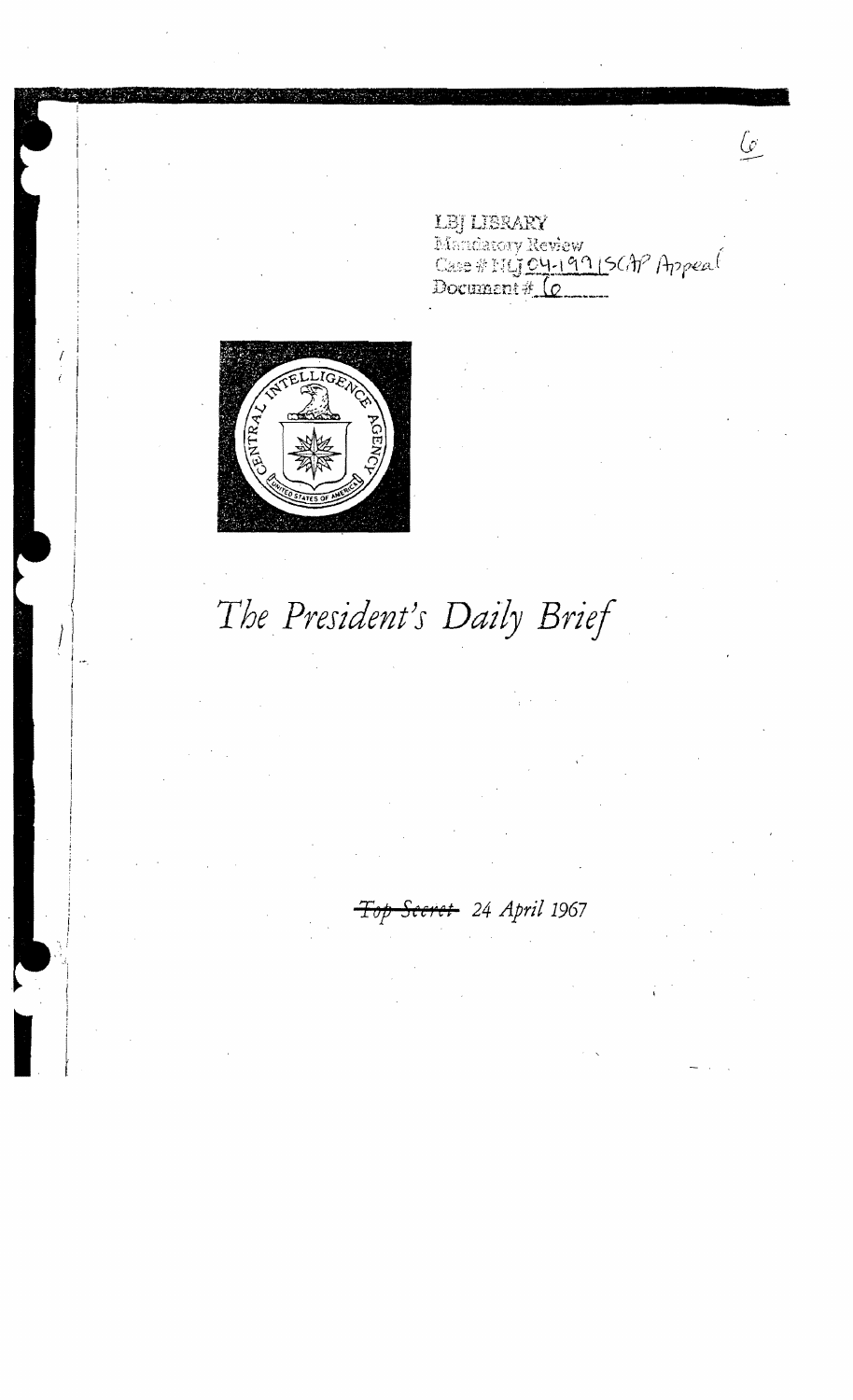

I

LBJ LIBRARY<br>Mandatory Review<br>Case # HLJ 04-19915CAP Appeal<br>Document # (0

 $\mathcal{L}_{\mathcal{L}}$ 

*The President's Daily Brief* 

*Tryp Secret* 24 *April* 1967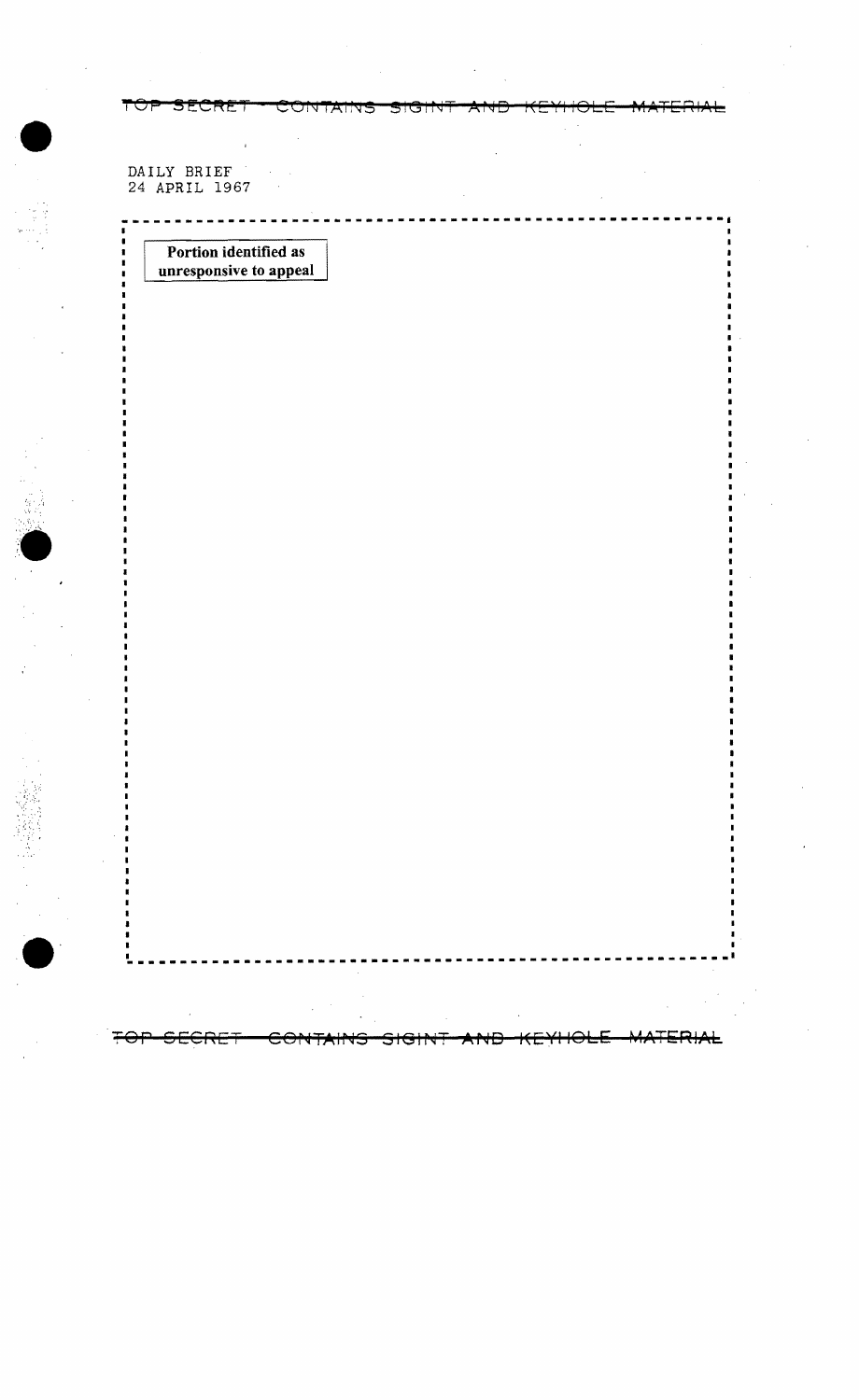**FOP SECRET**<br>
DAILY BRIEF<br>
24 APRIL 1967

'•<br>'•<br>'•

 $\bullet$ 

Portion identified as unresponsive to appeal

**---------------------------------------------------------**

डाउन

CONTAINS

**------------------------------------------------------.\_.** 

FOP SECRET CONTAINS SIGINT AND KEYHOLE MATERIAL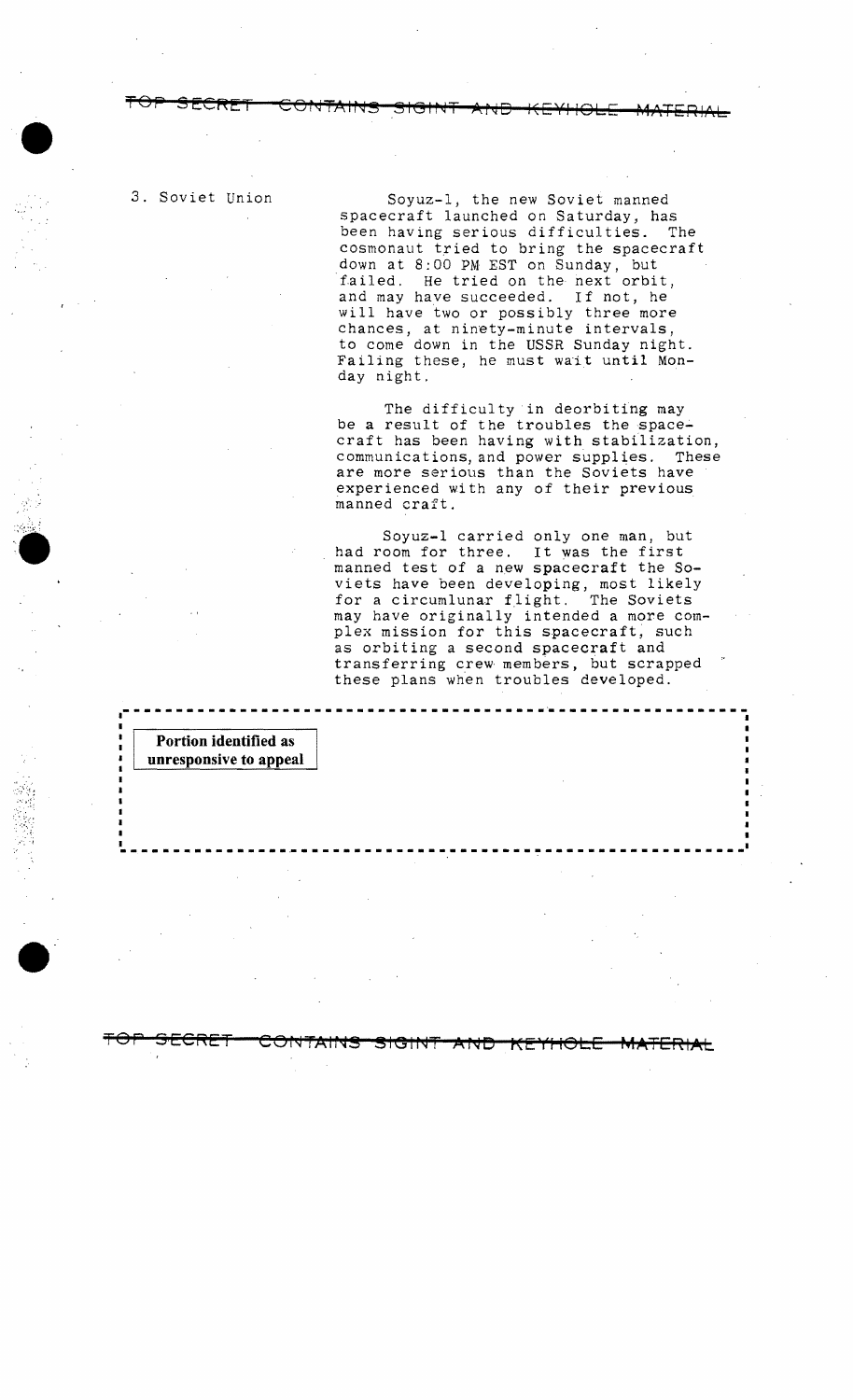$\bullet$ 

3. Soviet Union Soyuz-I, the new Soviet manned spacecraft launched on Saturday, has been having serious difficulties. The cosmonaut tried to bring the spacecraft down at 8:00 PM EST on Sunday, but failed. He tried on the next orbit, and may have succeeded. If not, he will have two or possibly three more chances, at ninety-minute intervals, to come down in the USSR Sunday night. Failing these, he must wait until Monday night.

> The difficulty in deorbiting may be a result of the troubles the spacecraft has been having with stabilization, communications, and power supplies. These are more serious than the Soviets have experienced with any of their previous manned craft.

Soyuz-l carried only one man, but had room for three. It was the first manned test of a new spacecraft the Soviets have been developing, most likely for a circumlunar flight. The Soviets may have originally intended a more complex mission for this spacecraft, such as orbiting a second spacecraft and transferring crew members, but scrapped these plans when troubles developed.

**-----------------------------------\_.\_---------------------**<sup>I</sup>

**Portion identified as unresponsive to appeal** 

 $\bullet$ 

I

**TOP SECRET** 

**JUINTAINS**